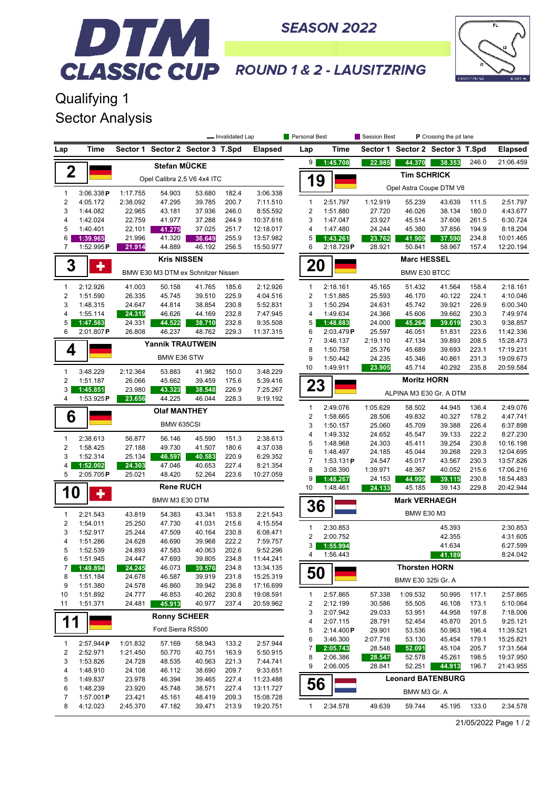

## DTM **CLASSIC CUP ROUND 1& 2 - LAUSITZRING**

**SEASON 2022** 

Qualifying 1 Sector Analysis

|                                |                       | - Invalidated Lap                  |                         |                             |                | Personal Best          |                | Session Best |                      | P Crossing the pit lane |                                  |       |                |  |
|--------------------------------|-----------------------|------------------------------------|-------------------------|-----------------------------|----------------|------------------------|----------------|--------------|----------------------|-------------------------|----------------------------------|-------|----------------|--|
| Lap                            | Time                  | Sector 1                           |                         | Sector 2 Sector 3 T.Spd     |                | <b>Elapsed</b>         | Lap            | Time         |                      |                         | Sector 1 Sector 2 Sector 3 T.Spd |       | <b>Elapsed</b> |  |
|                                |                       |                                    | Stefan MÜCKE            |                             |                |                        | 9              | 1:45.708     | 22.985               | 44.370                  | 38.353                           | 246.0 | 21:06.459      |  |
| 2                              |                       |                                    |                         | Opel Calibra 2,5 V6 4x4 ITC |                |                        | 1              | 9            | <b>Tim SCHRICK</b>   |                         |                                  |       |                |  |
| $\mathbf{1}$                   | 3:06.338P             |                                    | 54.903                  |                             | 182.4          | 3:06.338               |                |              |                      |                         | Opel Astra Coupe DTM V8          |       |                |  |
| $\sqrt{2}$                     | 4:05.172              | 1:17.755<br>2:38.092               | 47.295                  | 53.680<br>39.785            | 200.7          | 7:11.510               | $\mathbf{1}$   | 2:51.797     | 1:12.919             | 55.239                  | 43.639                           | 111.5 | 2:51.797       |  |
| 3                              | 1:44.082              | 22.965                             | 43.181                  | 37.936                      | 246.0          | 8:55.592               | $\overline{2}$ | 1:51.880     | 27.720               | 46.026                  | 38.134                           | 180.0 | 4:43.677       |  |
| $\overline{4}$                 | 1:42.024              | 22.759                             | 41.977                  | 37.288                      | 244.9          | 10:37.616              | 3              | 1:47.047     | 23.927               | 45.514                  | 37.606                           | 261.5 | 6:30.724       |  |
| 5                              | 1:40.401              | 22.101                             | 41.275                  | 37.025                      | 251.7          | 12:18.017              | 4              | 1:47.480     | 24.244               | 45.380                  | 37.856                           | 194.9 | 8:18.204       |  |
| 6                              | 1:39.965              | 21.996                             | 41.320                  | 36.649                      | 255.9          | 13:57.982              | 5              | 1:43.261     | 23.762               | 41.909                  | 37.590                           | 234.8 | 10:01.465      |  |
| $\overline{7}$                 | 1:52.995P             | 21.914                             | 44.889                  | 46.192                      | 256.5          | 15:50.977              | 6              | 2:18.729P    | 28.921               | 50.841                  | 58.967                           | 157.4 | 12:20.194      |  |
| 3                              | ٠                     |                                    | <b>Kris NISSEN</b>      |                             |                |                        | 20             |              | <b>Marc HESSEL</b>   |                         |                                  |       |                |  |
|                                |                       | BMW E30 M3 DTM ex Schnitzer Nissen |                         |                             |                |                        |                |              | <b>BMW E30 BTCC</b>  |                         |                                  |       |                |  |
| $\mathbf{1}$                   | 2:12.926              | 41.003                             | 50.158                  | 41.765                      | 185.6          | 2:12.926               | $\mathbf{1}$   | 2:18.161     | 45.165               | 51.432                  | 41.564                           | 158.4 | 2:18.161       |  |
| $\overline{2}$                 | 1:51.590              | 26.335                             | 45.745                  | 39.510                      | 225.9          | 4:04.516               | $\overline{2}$ | 1:51.885     | 25.593               | 46.170                  | 40.122                           | 224.1 | 4:10.046       |  |
| 3                              | 1:48.315              | 24.647                             | 44.814                  | 38.854                      | 230.8          | 5:52.831               | 3              | 1:50.294     | 24.631               | 45.742                  | 39.921                           | 226.9 | 6:00.340       |  |
| $\overline{4}$                 | 1:55.114              | 24.319                             | 46.626                  | 44.169                      | 232.8          | 7:47.945               | 4              | 1:49.634     | 24.366               | 45.606                  | 39.662                           | 230.3 | 7:49.974       |  |
| 5                              | 1:47.563              | 24.331                             | 44.522                  | 38.710                      | 232.8          | 9:35.508               | 5              | 1:48.883     | 24.000               | 45.264                  | 39.619                           | 230.3 | 9:38.857       |  |
| 6                              | 2:01.807P             | 26.808                             | 46.237                  | 48.762                      | 229.3          | 11:37.315              | 6              | 2:03.479P    | 25.597               | 46.051                  | 51.831                           | 223.6 | 11:42.336      |  |
|                                |                       |                                    | <b>Yannik TRAUTWEIN</b> |                             |                |                        | $\overline{7}$ | 3:46.137     | 2:19.110             | 47.134                  | 39.893                           | 208.5 | 15:28.473      |  |
| 4                              |                       |                                    |                         |                             |                |                        | 8              | 1:50.758     | 25.376               | 45.689                  | 39.693                           | 223.1 | 17:19.231      |  |
|                                |                       |                                    | BMW E36 STW             |                             |                |                        | 9              | 1:50.442     | 24.235               | 45.346                  | 40.861                           | 231.3 | 19:09.673      |  |
| $\mathbf{1}$                   | 3:48.229              | 2:12.364                           | 53.883                  | 41.982                      | 150.0          | 3:48.229               | 10             | 1:49.911     | 23.905               | 45.714                  | 40.292                           | 235.8 | 20:59.584      |  |
| $\overline{2}$                 | 1:51.187              | 26.066                             | 45.662                  | 39.459                      | 175.6          | 5:39.416               | 23             |              |                      | <b>Moritz HORN</b>      |                                  |       |                |  |
| 3<br>4                         | 1:45.851<br>1:53.925P | 23.980<br>23.656                   | 43.323<br>44.225        | 38.548<br>46.044            | 226.9<br>228.3 | 7:25.267<br>9:19.192   |                |              |                      |                         | ALPINA M3 E30 Gr. A DTM          |       |                |  |
|                                |                       |                                    | <b>Olaf MANTHEY</b>     |                             |                |                        | $\mathbf{1}$   | 2:49.076     | 1:05.629             | 58.502                  | 44.945                           | 136.4 | 2:49.076       |  |
| 6                              |                       |                                    |                         |                             |                |                        | $\sqrt{2}$     | 1:58.665     | 28.506               | 49.832                  | 40.327                           | 178.2 | 4:47.741       |  |
|                                |                       |                                    | BMW 635CSI              |                             |                |                        | 3              | 1:50.157     | 25.060               | 45.709                  | 39.388                           | 226.4 | 6:37.898       |  |
|                                |                       |                                    |                         |                             |                |                        | 4              | 1:49.332     | 24.652               | 45.547                  | 39.133                           | 222.2 | 8:27.230       |  |
| $\mathbf{1}$<br>$\overline{2}$ | 2:38.613<br>1:58.425  | 56.877<br>27.188                   | 56.146<br>49.730        | 45.590<br>41.507            | 151.3<br>180.6 | 2:38.613<br>4:37.038   | 5              | 1:48.968     | 24.303               | 45.411                  | 39.254                           | 230.8 | 10:16.198      |  |
| 3                              | 1:52.314              | 25.134                             | 46.597                  | 40.583                      | 220.9          | 6:29.352               | 6              | 1:48.497     | 24.185               | 45.044                  | 39.268                           | 229.3 | 12:04.695      |  |
| 4                              | 1:52.002              | 24.303                             | 47.046                  | 40.653                      | 227.4          | 8:21.354               | $\overline{7}$ | 1:53.131P    | 24.547               | 45.017                  | 43.567                           | 230.3 | 13:57.826      |  |
| 5                              | 2:05.705P             | 25.021                             | 48.420                  | 52.264                      | 223.6          | 10:27.059              | 8              | 3:08.390     | 1:39.971             | 48.367                  | 40.052                           | 215.6 | 17:06.216      |  |
|                                |                       |                                    |                         |                             |                |                        | 9              | 1:48.267     | 24.153               | 44.999                  | 39.115                           | 230.8 | 18:54.483      |  |
| <b>10</b>                      | ٠                     |                                    | <b>Rene RUCH</b>        |                             |                |                        | 10             | 1:48.461     | 24.133               | 45.185                  | 39.143                           | 229.8 | 20:42.944      |  |
|                                |                       | BMW M3 E30 DTM                     |                         |                             |                |                        | 36             |              | <b>Mark VERHAEGH</b> |                         |                                  |       |                |  |
| $\mathbf{1}$                   | 2:21.543              | 43.819                             | 54.383                  | 43.341                      | 153.8          | 2:21.543               |                |              |                      | <b>BMW E30 M3</b>       |                                  |       |                |  |
| $\overline{2}$                 | 1:54.011              | 25.250                             | 47.730                  | 41.031                      | 215.6          | 4:15.554               | $\mathbf{1}$   | 2:30.853     |                      |                         | 45.393                           |       | 2:30.853       |  |
| 3<br>$\overline{4}$            | 1:52.917              | 25.244                             | 47.509<br>46.690        | 40.164<br>39.968            | 230.8          | 6:08.471               | $\overline{2}$ | 2:00.752     |                      |                         | 42.355                           |       | 4:31.605       |  |
| 5                              | 1:51.286              | 24.628                             |                         |                             | 222.2          | 7:59.757               | 3              | 1:55.994     |                      |                         | 41.634                           |       | 6:27.599       |  |
|                                | 1:52.539<br>1:51.945  | 24.893<br>24.447                   | 47.583<br>47.693        | 40.063                      | 202.6          | 9:52.296               | 4              | 1:56.443     |                      |                         | 41.189                           |       | 8:24.042       |  |
| 6<br>7                         | 1:49.894              | 24.245                             | 46.073                  | 39.805<br>39.576            | 234.8<br>234.8 | 11:44.241<br>13:34.135 |                |              |                      | <b>Thorsten HORN</b>    |                                  |       |                |  |
| 8                              | 1:51.184              | 24.678                             | 46.587                  | 39.919                      | 231.8          | 15:25.319              | 50             |              |                      |                         |                                  |       |                |  |
| 9                              | 1:51.380              | 24.578                             | 46.860                  | 39.942                      | 236.8          | 17:16.699              |                |              |                      | BMW E30 325i Gr. A      |                                  |       |                |  |
| 10                             | 1:51.892              | 24.777                             | 46.853                  | 40.262                      | 230.8          | 19:08.591              | $\mathbf{1}$   | 2:57.865     | 57.338               | 1:09.532                | 50.995                           | 117.1 | 2:57.865       |  |
| 11                             | 1:51.371              | 24.481                             | 45.913                  | 40.977                      | 237.4          | 20:59.962              | 2              | 2:12.199     | 30.586               | 55.505                  | 46.108                           | 173.1 | 5:10.064       |  |
|                                |                       |                                    |                         |                             |                |                        | 3              | 2:07.942     | 29.033               | 53.951                  | 44.958                           | 197.8 | 7:18.006       |  |
| 11                             |                       |                                    | <b>Ronny SCHEER</b>     |                             |                |                        | 4              | 2:07.115     | 28.791               | 52.454                  | 45.870                           | 201.5 | 9:25.121       |  |
|                                |                       |                                    | Ford Sierra RS500       |                             |                |                        | 5              | 2:14.400P    | 29.901               | 53.536                  | 50.963                           | 196.4 | 11:39.521      |  |
|                                |                       |                                    |                         |                             |                |                        | 6              | 3:46.300     | 2:07.716             | 53.130                  | 45.454                           | 179.1 | 15:25.821      |  |
| $\mathbf{1}$                   | 2:57.944P             | 1:01.832                           | 57.169                  | 58.943                      | 133.2          | 2:57.944               | 7              | 2:05.743     | 28.548               | 52.091                  | 45.104                           | 205.7 | 17:31.564      |  |
| $\overline{\mathbf{c}}$        | 2:52.971              | 1:21.450                           | 50.770                  | 40.751                      | 163.9          | 5:50.915               | 8              | 2:06.386     | 28.547               | 52.578                  | 45.261                           | 198.5 | 19:37.950      |  |
| 3                              | 1:53.826              | 24.728                             | 48.535                  | 40.563                      | 221.3          | 7:44.741               | 9              | 2:06.005     | 28.841               | 52.251                  | 44.913                           | 196.7 | 21:43.955      |  |
| 4                              | 1:48.910              | 24.108                             | 46.112                  | 38.690                      | 209.7          | 9:33.651               |                |              |                      |                         |                                  |       |                |  |
| 5                              | 1:49.837              | 23.978                             | 46.394                  | 39.465                      | 227.4          | 11:23.488              | 56             |              |                      |                         | <b>Leonard BATENBURG</b>         |       |                |  |
| 6                              | 1:48.239              | 23.920                             | 45.748                  | 38.571                      | 227.4          | 13:11.727              |                |              |                      | BMW M3 Gr. A            |                                  |       |                |  |
| $\overline{7}$                 | 1:57.001 $P$          | 23.421                             | 45.161                  | 48.419                      | 209.3          | 15:08.728              |                |              |                      |                         |                                  |       |                |  |
| 8                              | 4:12.023              | 2:45.370                           | 47.182                  | 39.471                      | 213.9          | 19:20.751              | 1              | 2:34.578     | 49.639               | 59.744                  | 45.195                           | 133.0 | 2:34.578       |  |

21/05/2022 Page 1 / 2